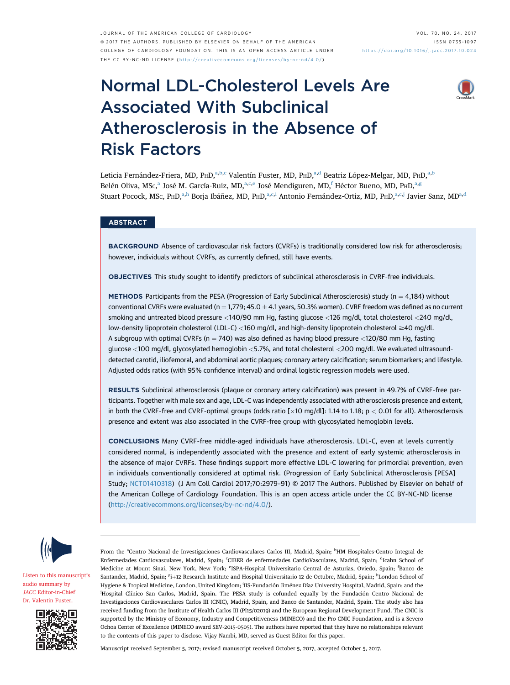JOURNAL OF THE AMERICAN COLLEGE OF CARDIOLOGY VOL. 70, NO. 24, 2017 ª 2017 THE AUTHORS. PUBLISHED BY ELSEVIER ON BEHALF OF THE AMERICAN COLLEGE OF CARDIOLOGY FOUNDATION. THIS IS AN OPEN ACCESS ARTICLE UNDER THE CC BY-NC-ND LICENSE ( http://creativecommons.o [rg/licenses/by-nc-nd/4.0/](http://creativecommons.org/licenses/by-nc-nd/4.0/) ) .

# Normal LDL-Cholesterol Levels Are Associated With Subclinical Atherosclerosis in the Absence of Risk Factors



Leticia Fernández-Friera, MD, PHD,<sup>a,b,c</sup> Valentín Fuster, MD, PHD,<sup>a,d</sup> Beatriz López-Melgar, MD, PHD,<sup>a,b</sup> Belén Oliva, MSc,<sup>a</sup> José M. García-Ruiz, MD,<sup>a,c,e</sup> José Mendiguren, MD,<sup>f</sup> Héctor Bueno, MD, P<sub>H</sub>D,<sup>a,g</sup> Stuart Pocock, MSc, PHD,<sup>a,h</sup> Borja Ibáñez, MD, PHD,<sup>a,c,i</sup> Antonio Fernández-Ortiz, MD, PHD,<sup>a,c,j</sup> Javier Sanz, MD<sup>a,d</sup>

## ABSTRACT

BACKGROUND Absence of cardiovascular risk factors (CVRFs) is traditionally considered low risk for atherosclerosis; however, individuals without CVRFs, as currently defined, still have events.

OBJECTIVES This study sought to identify predictors of subclinical atherosclerosis in CVRF-free individuals.

**METHODS** Participants from the PESA (Progression of Early Subclinical Atherosclerosis) study ( $n = 4,184$ ) without conventional CVRFs were evaluated (n = 1,779; 45.0  $\pm$  4.1 years, 50.3% women). CVRF freedom was defined as no current smoking and untreated blood pressure <140/90 mm Hg, fasting glucose <126 mg/dl, total cholesterol <240 mg/dl, low-density lipoprotein cholesterol (LDL-C) <160 mg/dl, and high-density lipoprotein cholesterol \$40 mg/dl. A subgroup with optimal CVRFs (n = 740) was also defined as having blood pressure <120/80 mm Hg, fasting glucose <100 mg/dl, glycosylated hemoglobin <5.7%, and total cholesterol <200 mg/dl. We evaluated ultrasounddetected carotid, iliofemoral, and abdominal aortic plaques; coronary artery calcification; serum biomarkers; and lifestyle. Adjusted odds ratios (with 95% confidence interval) and ordinal logistic regression models were used.

RESULTS Subclinical atherosclerosis (plaque or coronary artery calcification) was present in 49.7% of CVRF-free participants. Together with male sex and age, LDL-C was independently associated with atherosclerosis presence and extent, in both the CVRF-free and CVRF-optimal groups (odds ratio  $[x10 \text{ mod}/d]$ : 1.14 to 1.18; p < 0.01 for all). Atherosclerosis presence and extent was also associated in the CVRF-free group with glycosylated hemoglobin levels.

CONCLUSIONS Many CVRF-free middle-aged individuals have atherosclerosis. LDL-C, even at levels currently considered normal, is independently associated with the presence and extent of early systemic atherosclerosis in the absence of major CVRFs. These findings support more effective LDL-C lowering for primordial prevention, even in individuals conventionally considered at optimal risk. (Progression of Early Subclinical Atherosclerosis [PESA] Study; [NCT01410318](https://clinicaltrials.gov/ct2/show/NCT01410318)) (J Am Coll Cardiol 2017;70:2979–91) © 2017 The Authors. Published by Elsevier on behalf of the American College of Cardiology Foundation. This is an open access article under the CC BY-NC-ND license [\(http://creativecommons.org/licenses/by-nc-nd/4.0/](http://creativecommons.org/licenses/by-nc-nd/4.0/)).



[Listen to this manuscript](https://s3.amazonaws.com/ADFJACC/JACC7024/JACC7024_fustersummary_03)'s [audio summary by](https://s3.amazonaws.com/ADFJACC/JACC7024/JACC7024_fustersummary_03) JACC [Editor-in-Chief](https://s3.amazonaws.com/ADFJACC/JACC7024/JACC7024_fustersummary_03) [Dr. Valentin Fuster](https://s3.amazonaws.com/ADFJACC/JACC7024/JACC7024_fustersummary_03).



From the <sup>a</sup>Centro Nacional de Investigaciones Cardiovasculares Carlos III, Madrid, Spain; <sup>b</sup>HM Hospitales-Centro Integral de Enfermedades Cardiovasculares, Madrid, Spain; <sup>c</sup>CIBER de enfermedades CardioVasculares, Madrid, Spain; <sup>d</sup>Icahn School of Medicine at Mount Sinai, New York, New York; <sup>e</sup>ISPA-Hospital Universitario Central de Asturias, Oviedo, Spain; <sup>f</sup>Banco de Santander, Madrid, Spain; <sup>g</sup>i+12 Research Institute and Hospital Universitario 12 de Octubre, Madrid, Spain; <sup>h</sup>London School of Hygiene & Tropical Medicine, London, United Kingdom; <sup>i</sup>IIS-Fundación Jiménez Díaz University Hospital, Madrid, Spain; and the j Hospital Clínico San Carlos, Madrid, Spain. The PESA study is cofunded equally by the Fundación Centro Nacional de Investigaciones Cardiovasculares Carlos III (CNIC), Madrid, Spain, and Banco de Santander, Madrid, Spain. The study also has received funding from the Institute of Health Carlos III (PI15/02019) and the European Regional Development Fund. The CNIC is supported by the Ministry of Economy, Industry and Competitiveness (MINECO) and the Pro CNIC Foundation, and is a Severo Ochoa Center of Excellence (MINECO award SEV-2015-0505). The authors have reported that they have no relationships relevant to the contents of this paper to disclose. Vijay Nambi, MD, served as Guest Editor for this paper.

Manuscript received September 5, 2017; revised manuscript received October 5, 2017, accepted October 5, 2017.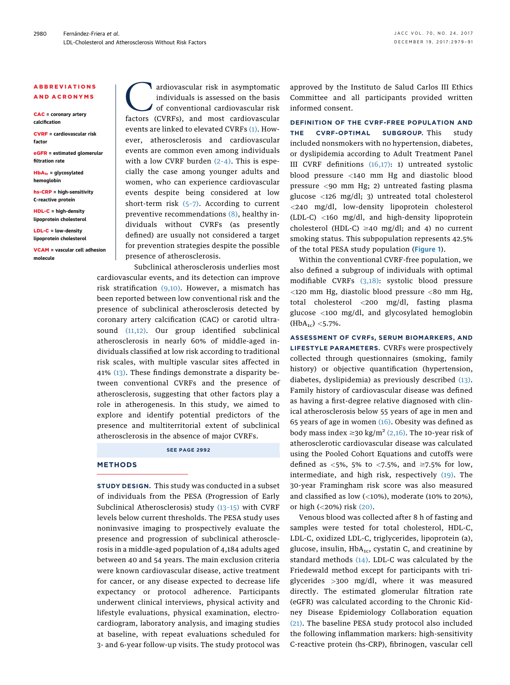### ABBREVIATIONS AND ACRONYMS

CAC = coronary artery calcification

CVRF = cardiovascular risk factor

eGFR = estimated glomerular filtration rate

 $HbA_{1c}$  = glycosylated hemoglobin

hs-CRP = high-sensitivity C-reactive protein

HDL-C = high-density lipoprotein cholesterol

LDL-C = low-density lipoprotein cholesterol

VCAM = vascular cell adhesion molecule

ardiovascular risk in asymptomatic<br>individuals is assessed on the basis<br>of conventional cardiovascular risk<br>factors (CVRFs) and most cardiovascular individuals is assessed on the basis of conventional cardiovascular risk factors (CVRFs), and most cardiovascular events are linked to elevated CVRFs [\(1\).](#page-11-0) However, atherosclerosis and cardiovascular events are common even among individuals with a low CVRF burden  $(2-4)$ . This is especially the case among younger adults and women, who can experience cardiovascular events despite being considered at low short-term risk  $(5-7)$ . According to current preventive recommendations [\(8\),](#page-11-0) healthy individuals without CVRFs (as presently defined) are usually not considered a target for prevention strategies despite the possible presence of atherosclerosis.

Subclinical atherosclerosis underlies most cardiovascular events, and its detection can improve risk stratification  $(9,10)$ . However, a mismatch has been reported between low conventional risk and the presence of subclinical atherosclerosis detected by coronary artery calcification (CAC) or carotid ultrasound [\(11,12\).](#page-11-0) Our group identified subclinical atherosclerosis in nearly 60% of middle-aged individuals classified at low risk according to traditional risk scales, with multiple vascular sites affected in 41% [\(13\).](#page-11-0) These findings demonstrate a disparity between conventional CVRFs and the presence of atherosclerosis, suggesting that other factors play a role in atherogenesis. In this study, we aimed to explore and identify potential predictors of the presence and multiterritorial extent of subclinical atherosclerosis in the absence of major CVRFs.

SEE PAGE 2992

### METHODS

STUDY DESIGN. This study was conducted in a subset of individuals from the PESA (Progression of Early Subclinical Atherosclerosis) study [\(13](#page-11-0)–15) with CVRF levels below current thresholds. The PESA study uses noninvasive imaging to prospectively evaluate the presence and progression of subclinical atherosclerosis in a middle-aged population of 4,184 adults aged between 40 and 54 years. The main exclusion criteria were known cardiovascular disease, active treatment for cancer, or any disease expected to decrease life expectancy or protocol adherence. Participants underwent clinical interviews, physical activity and lifestyle evaluations, physical examination, electrocardiogram, laboratory analysis, and imaging studies at baseline, with repeat evaluations scheduled for 3- and 6-year follow-up visits. The study protocol was approved by the Instituto de Salud Carlos III Ethics Committee and all participants provided written informed consent.

DEFINITION OF THE CVRF-FREE POPULATION AND THE CVRF-OPTIMAL SUBGROUP. This study included nonsmokers with no hypertension, diabetes, or dyslipidemia according to Adult Treatment Panel III CVRF definitions [\(16,17\)](#page-11-0): 1) untreated systolic blood pressure <140 mm Hg and diastolic blood pressure <90 mm Hg; 2) untreated fasting plasma glucose <126 mg/dl; 3) untreated total cholesterol <240 mg/dl, low-density lipoprotein cholesterol (LDL-C) <160 mg/dl, and high-density lipoprotein cholesterol (HDL-C)  $\geq$ 40 mg/dl; and 4) no current smoking status. This subpopulation represents 42.5% of the total PESA study population ([Figure 1](#page-2-0)).

Within the conventional CVRF-free population, we also defined a subgroup of individuals with optimal modifiable CVRFs [\(3,18\)](#page-11-0): systolic blood pressure  $<$ 120 mm Hg, diastolic blood pressure  $<$ 80 mm Hg, total cholesterol <200 mg/dl, fasting plasma glucose <100 mg/dl, and glycosylated hemoglobin  $(HbA_{1c})$  <5.7%.

ASSESSMENT OF CVRFs, SERUM BIOMARKERS, AND LIFESTYLE PARAMETERS. CVRFs were prospectively collected through questionnaires (smoking, family history) or objective quantification (hypertension, diabetes, dyslipidemia) as previously described [\(13\).](#page-11-0) Family history of cardiovascular disease was defined as having a first-degree relative diagnosed with clinical atherosclerosis below 55 years of age in men and 65 years of age in women  $(16)$ . Obesity was defined as body mass index  $\geq$ 30 kg/m<sup>2</sup> [\(2,16\)](#page-11-0). The 10-year risk of atherosclerotic cardiovascular disease was calculated using the Pooled Cohort Equations and cutoffs were defined as <5%, 5% to <7.5%, and  $\geq$ 7.5% for low, intermediate, and high risk, respectively [\(19\).](#page-11-0) The 30-year Framingham risk score was also measured and classified as low (<10%), moderate (10% to 20%), or high (<20%) risk [\(20\).](#page-11-0)

Venous blood was collected after 8 h of fasting and samples were tested for total cholesterol, HDL-C, LDL-C, oxidized LDL-C, triglycerides, lipoprotein (a), glucose, insulin,  $HbA_{1c}$ , cystatin C, and creatinine by standard methods [\(14\)](#page-11-0). LDL-C was calculated by the Friedewald method except for participants with triglycerides >300 mg/dl, where it was measured directly. The estimated glomerular filtration rate (eGFR) was calculated according to the Chronic Kidney Disease Epidemiology Collaboration equation [\(21\).](#page-11-0) The baseline PESA study protocol also included the following inflammation markers: high-sensitivity C-reactive protein (hs-CRP), fibrinogen, vascular cell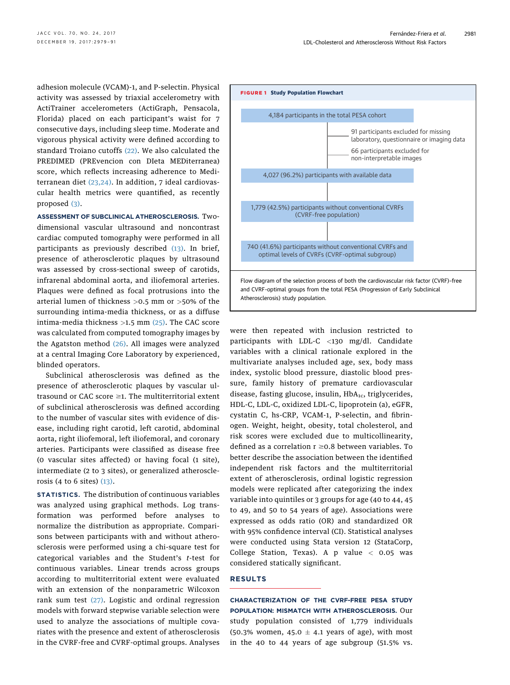<span id="page-2-0"></span>adhesion molecule (VCAM)-1, and P-selectin. Physical activity was assessed by triaxial accelerometry with ActiTrainer accelerometers (ActiGraph, Pensacola, Florida) placed on each participant's waist for 7 consecutive days, including sleep time. Moderate and vigorous physical activity were defined according to standard Troiano cutoffs [\(22\)](#page-11-0). We also calculated the PREDIMED (PREvencion con DIeta MEDiterranea) score, which reflects increasing adherence to Mediterranean diet [\(23,24\).](#page-11-0) In addition, 7 ideal cardiovascular health metrics were quantified, as recently proposed [\(3\)](#page-11-0).

ASSESSMENT OF SUBCLINICAL ATHEROSCLEROSIS. Twodimensional vascular ultrasound and noncontrast cardiac computed tomography were performed in all participants as previously described [\(13\)](#page-11-0). In brief, presence of atherosclerotic plaques by ultrasound was assessed by cross-sectional sweep of carotids, infrarenal abdominal aorta, and iliofemoral arteries. Plaques were defined as focal protrusions into the arterial lumen of thickness >0.5 mm or >50% of the surrounding intima-media thickness, or as a diffuse intima-media thickness  $>1.5$  mm [\(25\).](#page-11-0) The CAC score was calculated from computed tomography images by the Agatston method [\(26\)](#page-11-0). All images were analyzed at a central Imaging Core Laboratory by experienced, blinded operators.

Subclinical atherosclerosis was defined as the presence of atherosclerotic plaques by vascular ultrasound or CAC score  $\geq$ 1. The multiterritorial extent of subclinical atherosclerosis was defined according to the number of vascular sites with evidence of disease, including right carotid, left carotid, abdominal aorta, right iliofemoral, left iliofemoral, and coronary arteries. Participants were classified as disease free (0 vascular sites affected) or having focal (1 site), intermediate (2 to 3 sites), or generalized atherosclerosis (4 to 6 sites) [\(13\)](#page-11-0).

STATISTICS. The distribution of continuous variables was analyzed using graphical methods. Log transformation was performed before analyses to normalize the distribution as appropriate. Comparisons between participants with and without atherosclerosis were performed using a chi-square test for categorical variables and the Student's t-test for continuous variables. Linear trends across groups according to multiterritorial extent were evaluated with an extension of the nonparametric Wilcoxon rank sum test [\(27\).](#page-12-0) Logistic and ordinal regression models with forward stepwise variable selection were used to analyze the associations of multiple covariates with the presence and extent of atherosclerosis in the CVRF-free and CVRF-optimal groups. Analyses



were then repeated with inclusion restricted to participants with LDL-C <130 mg/dl. Candidate variables with a clinical rationale explored in the multivariate analyses included age, sex, body mass index, systolic blood pressure, diastolic blood pressure, family history of premature cardiovascular disease, fasting glucose, insulin,  $HbA_{1c}$ , triglycerides, HDL-C, LDL-C, oxidized LDL-C, lipoprotein (a), eGFR, cystatin C, hs-CRP, VCAM-1, P-selectin, and fibrinogen. Weight, height, obesity, total cholesterol, and risk scores were excluded due to multicollinearity, defined as a correlation  $r \ge 0.8$  between variables. To better describe the association between the identified independent risk factors and the multiterritorial extent of atherosclerosis, ordinal logistic regression models were replicated after categorizing the index variable into quintiles or 3 groups for age (40 to 44, 45 to 49, and 50 to 54 years of age). Associations were expressed as odds ratio (OR) and standardized OR with 95% confidence interval (CI). Statistical analyses were conducted using Stata version 12 (StataCorp, College Station, Texas). A  $p$  value  $<$  0.05 was considered statically significant.

## RESULTS

CHARACTERIZATION OF THE CVRF-FREE PESA STUDY POPULATION: MISMATCH WITH ATHEROSCLEROSIS. Our study population consisted of 1,779 individuals (50.3% women, 45.0  $\pm$  4.1 years of age), with most in the 40 to 44 years of age subgroup (51.5% vs.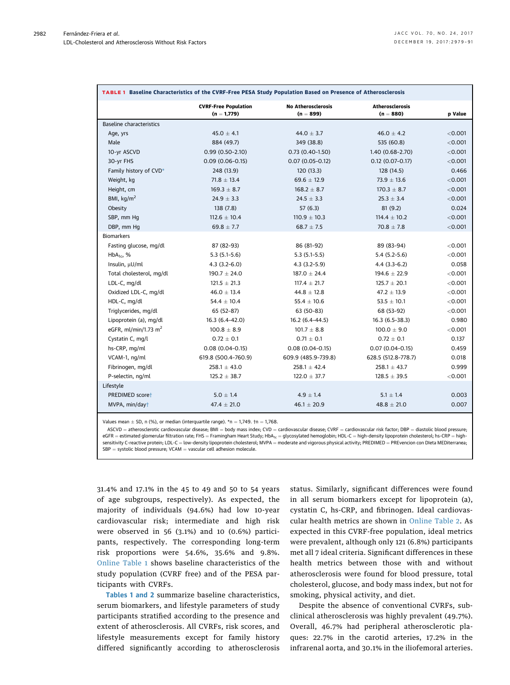<span id="page-3-0"></span>

|                                 | <b>CVRF-Free Population</b><br>$(n = 1,779)$ | <b>No Atherosclerosis</b><br>$(n = 899)$ | <b>Atherosclerosis</b><br>$(n = 880)$ | p Value |
|---------------------------------|----------------------------------------------|------------------------------------------|---------------------------------------|---------|
| <b>Baseline characteristics</b> |                                              |                                          |                                       |         |
| Age, yrs                        | $45.0 \pm 4.1$                               | $44.0 \pm 3.7$                           | $46.0 \pm 4.2$                        | < 0.001 |
| Male                            | 884 (49.7)                                   | 349 (38.8)                               | 535 (60.8)                            | < 0.001 |
| 10-yr ASCVD                     | $0.99(0.50-2.10)$                            | $0.73(0.40-1.50)$                        | 1.40 (0.68-2.70)                      | < 0.001 |
| 30-yr FHS                       | $0.09(0.06 - 0.15)$                          | $0.07(0.05 - 0.12)$                      | $0.12(0.07 - 0.17)$                   | < 0.001 |
| Family history of CVD*          | 248 (13.9)                                   | 120(13.3)                                | 128 (14.5)                            | 0.466   |
| Weight, kg                      | $71.8 \pm 13.4$                              | $69.6 \pm 12.9$                          | $73.9 \pm 13.6$                       | < 0.001 |
| Height, cm                      | $169.3 \pm 8.7$                              | $168.2 \pm 8.7$                          | $170.3 \pm 8.7$                       | < 0.001 |
| BMI, $\text{kg/m}^2$            | $24.9 \pm 3.3$                               | $24.5 \pm 3.3$                           | $25.3 \pm 3.4$                        | < 0.001 |
| Obesity                         | 138 (7.8)                                    | 57(6.3)                                  | 81(9.2)                               | 0.024   |
| SBP, mm Hq                      | $112.6 \pm 10.4$                             | $110.9 \pm 10.3$                         | $114.4 \pm 10.2$                      | < 0.001 |
| DBP, mm Hg                      | $69.8 \pm 7.7$                               | $68.7 \pm 7.5$                           | $70.8 \pm 7.8$                        | < 0.001 |
| <b>Biomarkers</b>               |                                              |                                          |                                       |         |
| Fasting glucose, mg/dl          | 87 (82-93)                                   | 86 (81-92)                               | 89 (83-94)                            | < 0.001 |
| $HbA_{1c}$ , %                  | $5.3(5.1-5.6)$                               | $5.3(5.1-5.5)$                           | $5.4(5.2-5.6)$                        | < 0.001 |
| Insulin, µU/ml                  | $4.3(3.2-6.0)$                               | $4.3(3.2-5.9)$                           | $4.4(3.3-6.2)$                        | 0.058   |
| Total cholesterol, mg/dl        | $190.7 \pm 24.0$                             | $187.0 \pm 24.4$                         | $194.6 \pm 22.9$                      | < 0.001 |
| LDL-C, mg/dl                    | $121.5 \pm 21.3$                             | $117.4 \pm 21.7$                         | $125.7 \pm 20.1$                      | < 0.001 |
| Oxidized LDL-C, mg/dl           | $46.0 \pm 13.4$                              | $44.8 \pm 12.8$                          | $47.2 \pm 13.9$                       | < 0.001 |
| HDL-C, mg/dl                    | $54.4 \pm 10.4$                              | $55.4 \pm 10.6$                          | $53.5 \pm 10.1$                       | < 0.001 |
| Triglycerides, mg/dl            | 65 (52-87)                                   | 63 (50-83)                               | 68 (53-92)                            | < 0.001 |
| Lipoprotein (a), mg/dl          | $16.3(6.4 - 42.0)$                           | $16.2(6.4 - 44.5)$                       | $16.3(6.5-38.3)$                      | 0.980   |
| eGFR, ml/min/1.73 $m2$          | $100.8 \pm 8.9$                              | $101.7 \pm 8.8$                          | $100.0 \pm 9.0$                       | < 0.001 |
| Cystatin C, mg/l                | $0.72 \pm 0.1$                               | $0.71 \pm 0.1$                           | $0.72 \pm 0.1$                        | 0.137   |
| hs-CRP, mg/ml                   | $0.08(0.04 - 0.15)$                          | $0.08(0.04 - 0.15)$                      | $0.07(0.04 - 0.15)$                   | 0.459   |
| VCAM-1, ng/ml                   | 619.8 (500.4-760.9)                          | 609.9 (485.9-739.8)                      | 628.5 (512.8-778.7)                   | 0.018   |
| Fibrinogen, mg/dl               | $258.1 \pm 43.0$                             | $258.1 \pm 42.4$                         | $258.1 \pm 43.7$                      | 0.999   |
| P-selectin, ng/ml               | $125.2 \pm 38.7$                             | $122.0 \pm 37.7$                         | $128.5 \pm 39.5$                      | < 0.001 |
| Lifestyle                       |                                              |                                          |                                       |         |
| PREDIMED scoret                 | $5.0 \pm 1.4$                                | $4.9 \pm 1.4$                            | $5.1 \pm 1.4$                         | 0.003   |
| MVPA, min/day†                  | $47.4 \pm 21.0$                              | $46.1 \pm 20.9$                          | $48.8 \pm 21.0$                       | 0.007   |

Values mean  $\pm$  SD, n (%), or median (interquartile range).  $\ast$ n = 1,749. †n = 1,768.

 $ASCVD =$  atherosclerotic cardiovascular disease; BMI = body mass index;  $CVD =$  cardiovascular disease;  $CVRF =$  cardiovascular risk factor; DBP = diastolic blood pressure;  $e$ GFR = estimated glomerular filtration rate; FHS = Framingham Heart Study; HbA<sub>1c</sub> = glycosylated hemoglobin; HDL-C = high-density lipoprotein cholesterol; hs-CRP = highsensitivity C-reactive protein; LDL-C = low-density lipoprotein cholesterol; MVPA = moderate and vigorous physical activity; PREDIMED = PREvencion con DIeta MEDiterranea;  $SBP =$  systolic blood pressure; VCAM  $=$  vascular cell adhesion molecule.

31.4% and 17.1% in the 45 to 49 and 50 to 54 years of age subgroups, respectively). As expected, the majority of individuals (94.6%) had low 10-year cardiovascular risk; intermediate and high risk were observed in 56 (3.1%) and 10 (0.6%) participants, respectively. The corresponding long-term risk proportions were 54.6%, 35.6% and 9.8%. [Online Table 1](https://doi.org/10.1016/j.jacc.2017.10.024) shows baseline characteristics of the study population (CVRF free) and of the PESA participants with CVRFs.

Tables 1 and [2](#page-4-0) summarize baseline characteristics, serum biomarkers, and lifestyle parameters of study participants stratified according to the presence and extent of atherosclerosis. All CVRFs, risk scores, and lifestyle measurements except for family history differed significantly according to atherosclerosis status. Similarly, significant differences were found in all serum biomarkers except for lipoprotein (a), cystatin C, hs-CRP, and fibrinogen. Ideal cardiovascular health metrics are shown in [Online Table 2.](https://doi.org/10.1016/j.jacc.2017.10.024) As expected in this CVRF-free population, ideal metrics were prevalent, although only 121 (6.8%) participants met all 7 ideal criteria. Significant differences in these health metrics between those with and without atherosclerosis were found for blood pressure, total cholesterol, glucose, and body mass index, but not for smoking, physical activity, and diet.

Despite the absence of conventional CVRFs, subclinical atherosclerosis was highly prevalent (49.7%). Overall, 46.7% had peripheral atherosclerotic plaques: 22.7% in the carotid arteries, 17.2% in the infrarenal aorta, and 30.1% in the iliofemoral arteries.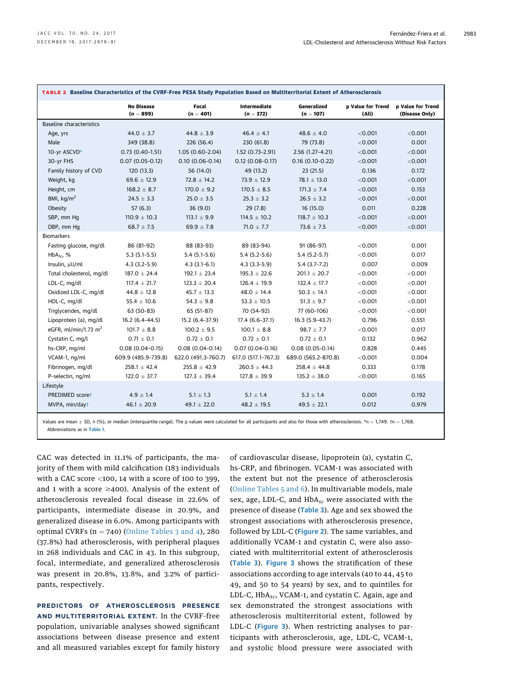<span id="page-4-0"></span>

| TABLE 2 Baseline Characteristics of the CVRF-Free PESA Study Population Based on Multiterritorial Extent of Atherosclerosis |                                  |                      |                             |                            |                            |                                     |  |  |  |  |
|-----------------------------------------------------------------------------------------------------------------------------|----------------------------------|----------------------|-----------------------------|----------------------------|----------------------------|-------------------------------------|--|--|--|--|
|                                                                                                                             | <b>No Disease</b><br>$(n = 899)$ | Focal<br>$(n = 401)$ | Intermediate<br>$(n = 372)$ | Generalized<br>$(n = 107)$ | p Value for Trend<br>(All) | p Value for Trend<br>(Disease Only) |  |  |  |  |
| <b>Baseline characteristics</b>                                                                                             |                                  |                      |                             |                            |                            |                                     |  |  |  |  |
| Age, yrs                                                                                                                    | 44.0 $\pm$ 3.7                   | $44.8 \pm 3.9$       | $46.4 \pm 4.1$              | $48.6 \pm 4.0$             | < 0.001                    | < 0.001                             |  |  |  |  |
| Male                                                                                                                        | 349 (38.8)                       | 226 (56.4)           | 230 (61.8)                  | 79 (73.8)                  | < 0.001                    | 0.001                               |  |  |  |  |
| 10-yr ASCVD*                                                                                                                | $0.73(0.40-1.51)$                | $1.05(0.60-2.04)$    | 1.52 (0.73-2.91)            | $2.56(1.27 - 4.21)$        | < 0.001                    | < 0.001                             |  |  |  |  |
| 30-yr FHS                                                                                                                   | $0.07(0.05 - 0.12)$              | $0.10(0.06 - 0.14)$  | $0.12(0.08-0.17)$           | $0.16(0.10-0.22)$          | < 0.001                    | < 0.001                             |  |  |  |  |
| Family history of CVD                                                                                                       | 120 (13.3)                       | 56 (14.0)            | 49 (13.2)                   | 23(21.5)                   | 0.136                      | 0.172                               |  |  |  |  |
| Weight, kg                                                                                                                  | 69.6 $\pm$ 12.9                  | $72.8 \pm 14.2$      | $73.9 \pm 12.9$             | $78.1 \pm 13.0$            | < 0.001                    | < 0.001                             |  |  |  |  |
| Height, cm                                                                                                                  | $168.2 \pm 8.7$                  | $170.0 \pm 9.2$      | $170.5 \pm 8.5$             | $171.3 \pm 7.4$            | $<$ 0.001                  | 0.153                               |  |  |  |  |
| BMI, $\text{kg/m}^2$                                                                                                        | $24.5 \pm 3.3$                   | $25.0 \pm 3.5$       | $25.3 \pm 3.2$              | $26.5 \pm 3.2$             | < 0.001                    | < 0.001                             |  |  |  |  |
| Obesity                                                                                                                     | 57(6.3)                          | 36(9.0)              | 29(7.8)                     | 16(15.0)                   | 0.011                      | 0.228                               |  |  |  |  |
| SBP, mm Hq                                                                                                                  | $110.9 \pm 10.3$                 | $113.1 \pm 9.9$      | $114.5 \pm 10.2$            | $118.7 \pm 10.3$           | < 0.001                    | < 0.001                             |  |  |  |  |
| DBP, mm Hq                                                                                                                  | $68.7 \pm 7.5$                   | $69.9 \pm 7.8$       | $71.0 \pm 7.7$              | $73.6 \pm 7.5$             | < 0.001                    | < 0.001                             |  |  |  |  |
| <b>Biomarkers</b>                                                                                                           |                                  |                      |                             |                            |                            |                                     |  |  |  |  |
| Fasting glucose, mg/dl                                                                                                      | 86 (81-92)                       | 88 (83-93)           | 89 (83-94)                  | 91 (86-97)                 | < 0.001                    | 0.001                               |  |  |  |  |
| $HbA_{1c}$ , %                                                                                                              | $5.3(5.1-5.5)$                   | $5.4(5.1-5.6)$       | $5.4(5.2-5.6)$              | $5.4(5.2-5.7)$             | < 0.001                    | 0.017                               |  |  |  |  |
| Insulin, µU/ml                                                                                                              | $4.3(3.2 - 5.9)$                 | $4.3(3.1-6.1)$       | $4.3(3.3-5.9)$              | $5.4(3.7-7.2)$             | 0.007                      | 0.009                               |  |  |  |  |
| Total cholesterol, mg/dl                                                                                                    | $187.0 \pm 24.4$                 | $192.1 \pm 23.4$     | $195.3 \pm 22.6$            | $201.1 \pm 20.7$           | < 0.001                    | < 0.001                             |  |  |  |  |
| LDL-C, mg/dl                                                                                                                | $117.4 \pm 21.7$                 | $123.3 \pm 20.4$     | $126.4 \pm 19.9$            | $132.4 \pm 17.7$           | $<$ 0.001                  | $<$ 0.001                           |  |  |  |  |
| Oxidized LDL-C, mg/dl                                                                                                       | $44.8 \pm 12.8$                  | $45.7 \pm 13.3$      | $48.0 \pm 14.4$             | $50.3 \pm 14.1$            | < 0.001                    | < 0.001                             |  |  |  |  |
| HDL-C, mg/dl                                                                                                                | $55.4 \pm 10.6$                  | $54.3 \pm 9.8$       | $53.3 \pm 10.5$             | $51.3 \pm 9.7$             | $<$ 0.001                  | < 0.001                             |  |  |  |  |
| Triglycerides, mg/dl                                                                                                        | 63 (50-83)                       | 65 (51-87)           | 70 (54-92)                  | 77 (60-106)                | $<$ 0.001                  | $<$ 0.001                           |  |  |  |  |
| Lipoprotein (a), mg/dl                                                                                                      | $16.2(6.4 - 44.5)$               | 15.2 (6.4-37.9)      | $17.4(6.6-37.1)$            | $16.3(5.9-43.7)$           | 0.796                      | 0.551                               |  |  |  |  |
| eGFR, ml/min/1.73 m <sup>2</sup>                                                                                            | $101.7 \pm 8.8$                  | $100.2 \pm 9.5$      | $100.1 \pm 8.8$             | $98.7 \pm 7.7$             | < 0.001                    | 0.017                               |  |  |  |  |
| Cystatin C, mg/l                                                                                                            | $0.71 \pm 0.1$                   | $0.72 \pm 0.1$       | $0.72 \pm 0.1$              | $0.72 \pm 0.1$             | 0.132                      | 0.962                               |  |  |  |  |
| hs-CRP, mg/ml                                                                                                               | $0.08(0.04 - 0.15)$              | $0.08(0.04 - 0.14)$  | $0.07(0.04 - 0.16)$         | $0.08(0.05 - 0.14)$        | 0.828                      | 0.445                               |  |  |  |  |
| VCAM-1, ng/ml                                                                                                               | 609.9 (485.9-739.8)              | 622.0 (491.3-760.7)  | 617.0 (517.1-767.3)         | 689.0 (565.2-870.8)        | < 0.001                    | 0.004                               |  |  |  |  |
| Fibrinogen, mg/dl                                                                                                           | $258.1 \pm 42.4$                 | $255.8 \pm 42.9$     | $260.5 \pm 44.3$            | $258.4 \pm 44.8$           | 0.333                      | 0.178                               |  |  |  |  |
| P-selectin, ng/ml                                                                                                           | $122.0 \pm 37.7$                 | $127.3 \pm 39.4$     | $127.8 \pm 39.9$            | $135.2 \pm 38.0$           | $<$ 0.001                  | 0.165                               |  |  |  |  |
| Lifestyle                                                                                                                   |                                  |                      |                             |                            |                            |                                     |  |  |  |  |
| PREDIMED scoret                                                                                                             | $4.9 \pm 1.4$                    | $5.1 \pm 1.3$        | $5.1 \pm 1.4$               | $5.3 \pm 1.4$              | 0.001                      | 0.192                               |  |  |  |  |
| MVPA, min/day+                                                                                                              | $46.1 \pm 20.9$                  | $49.1 \pm 22.0$      | $48.2 \pm 19.5$             | $49.5 \pm 22.1$            | 0.012                      | 0.979                               |  |  |  |  |
|                                                                                                                             |                                  |                      |                             |                            |                            |                                     |  |  |  |  |

Values are mean  $\pm$  SD, n (%), or median (interquartile range). The p values were calculated for all participants and also for those with atherosclerosis. \*n = 1,749. †n = 1,768. Abbreviations as in [Table 1](#page-3-0).

CAC was detected in 11.1% of participants, the majority of them with mild calcification (183 individuals with a CAC score  $<100$ , 14 with a score of 100 to 399, and 1 with a score  $\geq$ 400). Analysis of the extent of atherosclerosis revealed focal disease in 22.6% of participants, intermediate disease in 20.9%, and generalized disease in 6.0%. Among participants with optimal CVRFs ( $n = 740$ ) [\(Online Tables 3 and 4](https://doi.org/10.1016/j.jacc.2017.10.024)), 280 (37.8%) had atherosclerosis, with peripheral plaques in 268 individuals and CAC in 43. In this subgroup, focal, intermediate, and generalized atherosclerosis was present in 20.8%, 13.8%, and 3.2% of participants, respectively.

PREDICTORS OF ATHEROSCLEROSIS PRESENCE AND MULTITERRITORIAL EXTENT. In the CVRF-free population, univariable analyses showed significant associations between disease presence and extent and all measured variables except for family history of cardiovascular disease, lipoprotein (a), cystatin C, hs-CRP, and fibrinogen. VCAM-1 was associated with the extent but not the presence of atherosclerosis ([Online Tables 5 and 6\)](https://doi.org/10.1016/j.jacc.2017.10.024). In multivariable models, male sex, age, LDL-C, and  $HbA_{1c}$  were associated with the presence of disease ([Table 3](#page-5-0)). Age and sex showed the strongest associations with atherosclerosis presence, followed by LDL-C ([Figure 2](#page-5-0)). The same variables, and additionally VCAM-1 and cystatin C, were also associated with multiterritorial extent of atherosclerosis ([Table 3](#page-5-0)). [Figure 3](#page-6-0) shows the stratification of these associations according to age intervals (40 to 44, 45 to 49, and 50 to 54 years) by sex, and to quintiles for LDL-C,  $HbA_{1c}$ , VCAM-1, and cystatin C. Again, age and sex demonstrated the strongest associations with atherosclerosis multiterritorial extent, followed by LDL-C ([Figure 3](#page-6-0)). When restricting analyses to participants with atherosclerosis, age, LDL-C, VCAM-1, and systolic blood pressure were associated with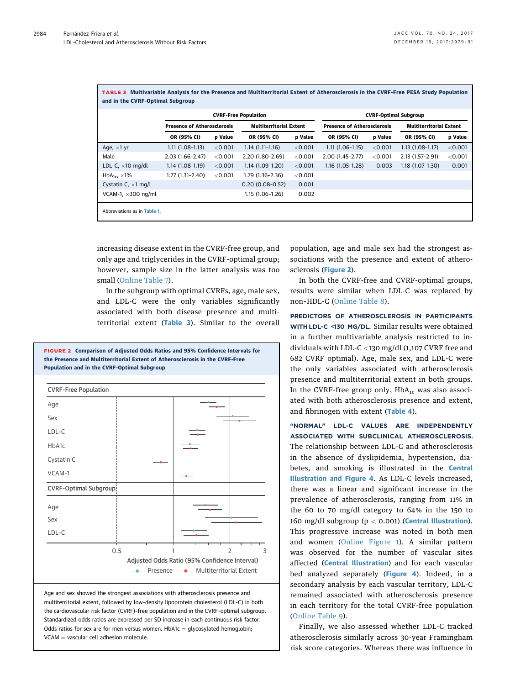<span id="page-5-0"></span>TABLE 3 Multivariable Analysis for the Presence and Multiterritorial Extent of Atherosclerosis in the CVRF-Free PESA Study Population and in the CVRF-Optimal Subgroup

|                              | <b>CVRF-Free Population</b>        |         |                                |         | <b>CVRF-Optimal Subgroup</b>       |         |                                |         |  |
|------------------------------|------------------------------------|---------|--------------------------------|---------|------------------------------------|---------|--------------------------------|---------|--|
|                              | <b>Presence of Atherosclerosis</b> |         | <b>Multiterritorial Extent</b> |         | <b>Presence of Atherosclerosis</b> |         | <b>Multiterritorial Extent</b> |         |  |
|                              | OR (95% CI)                        | p Value | OR (95% CI)                    | p Value | OR (95% CI)                        | p Value | OR (95% CI)                    | p Value |  |
| Age, $\times$ 1 yr           | $1.11(1.08-1.13)$                  | < 0.001 | $1.14(1.11-1.16)$              | < 0.001 | $1.11(1.06-1.15)$                  | < 0.001 | $1.13(1.08-1.17)$              | < 0.001 |  |
| Male                         | $2.03(1.66 - 2.47)$                | < 0.001 | 2.20 (1.80-2.69)               | < 0.001 | $2.00(1.45 - 2.77)$                | < 0.001 | 2.13 (1.57-2.91)               | < 0.001 |  |
| LDL-C, $\times$ 10 mg/dl     | $1.14(1.08-1.19)$                  | < 0.001 | $1.14(1.09-1.20)$              | < 0.001 | $1.16(1.05-1.28)$                  | 0.003   | $1.18(1.07-1.30)$              | 0.001   |  |
| $HbA_{1c} \times 1\%$        | $1.77(1.31 - 2.40)$                | < 0.001 | $1.79(1.36-2.36)$              | < 0.001 |                                    |         |                                |         |  |
| Cystatin C, $\times$ 1 mg/l  |                                    |         | $0.20(0.08 - 0.52)$            | 0.001   |                                    |         |                                |         |  |
| VCAM-1, $\times$ 300 ng/ml   |                                    |         | 1.15 (1.06-1.26)               | 0.002   |                                    |         |                                |         |  |
| Abbreviations as in Table 1. |                                    |         |                                |         |                                    |         |                                |         |  |

increasing disease extent in the CVRF-free group, and only age and triglycerides in the CVRF-optimal group; however, sample size in the latter analysis was too small [\(Online Table 7](https://doi.org/10.1016/j.jacc.2017.10.024)).

In the subgroup with optimal CVRFs, age, male sex, and LDL-C were the only variables significantly associated with both disease presence and multiterritorial extent (Table 3). Similar to the overall



Age and sex showed the strongest associations with atherosclerosis presence and multiterritorial extent, followed by low-density lipoprotein cholesterol (LDL-C) in both the cardiovascular risk factor (CVRF)–free population and in the CVRF-optimal subgroup. Standardized odds ratios are expressed per SD increase in each continuous risk factor. Odds ratios for sex are for men versus women.  $HbA1c = glycosylated hemoglobin;$  $VCAM = vascular$  cell adhesion molecule.

population, age and male sex had the strongest associations with the presence and extent of atherosclerosis (Figure 2).

In both the CVRF-free and CVRF-optimal groups, results were similar when LDL-C was replaced by non–HDL-C ([Online Table 8\)](https://doi.org/10.1016/j.jacc.2017.10.024).

PREDICTORS OF ATHEROSCLEROSIS IN PARTICIPANTS WITH LDL-C <130 MG/DL. Similar results were obtained in a further multivariable analysis restricted to individuals with LDL-C <130 mg/dl (1,107 CVRF free and 682 CVRF optimal). Age, male sex, and LDL-C were the only variables associated with atherosclerosis presence and multiterritorial extent in both groups. In the CVRF-free group only,  $HbA_{1c}$  was also associated with both atherosclerosis presence and extent, and fibrinogen with extent ([Table 4](#page-7-0)).

"NORMAL" LDL-C VALUES ARE INDEPENDENTLY ASSOCIATED WITH SUBCLINICAL ATHEROSCLEROSIS. The relationship between LDL-C and atherosclerosis in the absence of dyslipidemia, hypertension, diabetes, and smoking is illustrated in the [Central](#page-8-0) [Illustration](#page-8-0) and [Figure 4](#page-9-0). As LDL-C levels increased, there was a linear and significant increase in the prevalence of atherosclerosis, ranging from 11% in the 60 to 70 mg/dl category to 64% in the 150 to 160 mg/dl subgroup ( $p < 0.001$ ) (**[Central Illustration](#page-8-0)**). This progressive increase was noted in both men and women [\(Online Figure 1](https://doi.org/10.1016/j.jacc.2017.10.024)). A similar pattern was observed for the number of vascular sites affected ([Central Illustration](#page-8-0)) and for each vascular bed analyzed separately ([Figure 4](#page-9-0)). Indeed, in a secondary analysis by each vascular territory, LDL-C remained associated with atherosclerosis presence in each territory for the total CVRF-free population ([Online Table 9\)](https://doi.org/10.1016/j.jacc.2017.10.024).

Finally, we also assessed whether LDL-C tracked atherosclerosis similarly across 30-year Framingham risk score categories. Whereas there was influence in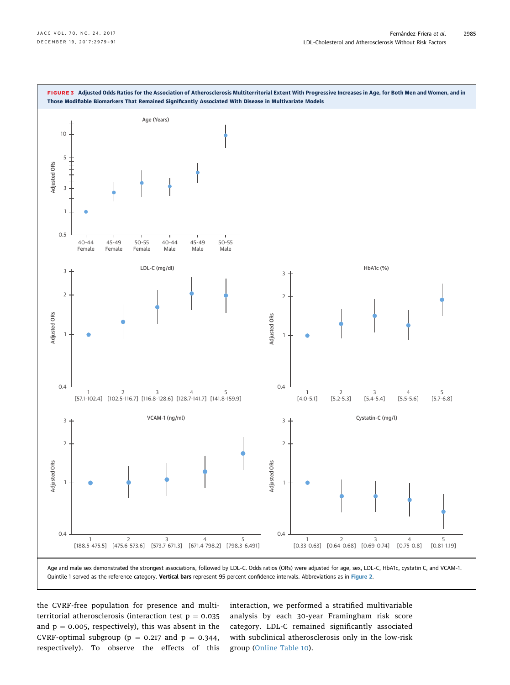<span id="page-6-0"></span>

the CVRF-free population for presence and multiterritorial atherosclerosis (interaction test  $p = 0.035$ and  $p = 0.005$ , respectively), this was absent in the CVRF-optimal subgroup ( $p = 0.217$  and  $p = 0.344$ , respectively). To observe the effects of this interaction, we performed a stratified multivariable analysis by each 30-year Framingham risk score category. LDL-C remained significantly associated with subclinical atherosclerosis only in the low-risk group ([Online Table 10\)](https://doi.org/10.1016/j.jacc.2017.10.024).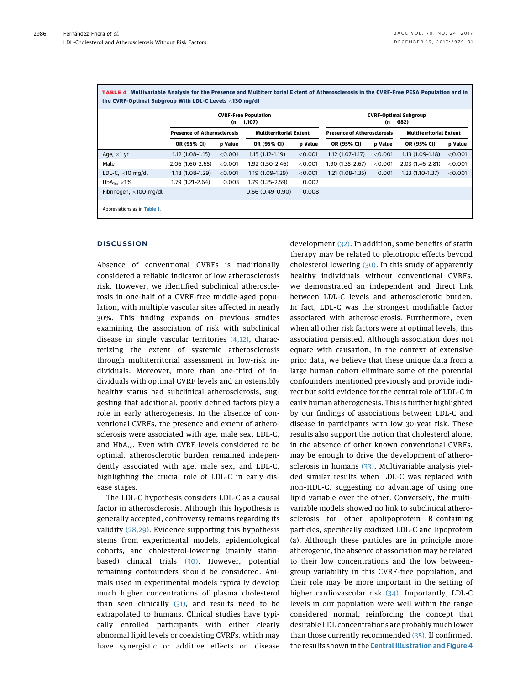|                          | <b>CVRF-Free Population</b><br>$(n = 1,107)$ |         |                                |         | <b>CVRF-Optimal Subgroup</b><br>$(n = 682)$ |         |                                |         |
|--------------------------|----------------------------------------------|---------|--------------------------------|---------|---------------------------------------------|---------|--------------------------------|---------|
|                          | <b>Presence of Atherosclerosis</b>           |         | <b>Multiterritorial Extent</b> |         | <b>Presence of Atherosclerosis</b>          |         | <b>Multiterritorial Extent</b> |         |
|                          | OR (95% CI)                                  | p Value | OR (95% CI)                    | p Value | OR (95% CI)                                 | p Value | OR (95% CI)                    | p Value |
| Age, $\times$ 1 yr       | $1.12(1.08-1.15)$                            | < 0.001 | $1.15(1.12 - 1.19)$            | < 0.001 | $1.12(1.07-1.17)$                           | < 0.001 | $1.13(1.09-1.18)$              | < 0.001 |
| Male                     | $2.06(1.60 - 2.65)$                          | < 0.001 | 1.92 (1.50-2.46)               | < 0.001 | 1.90 (1.35-2.67)                            | < 0.001 | 2.03 (1.46-2.81)               | < 0.001 |
| LDL-C, $\times$ 10 mg/dl | $1.18(1.08-1.29)$                            | < 0.001 | 1.19 (1.09-1.29)               | < 0.001 | $1.21(1.08-1.35)$                           | 0.001   | $1.23(1.10-1.37)$              | < 0.001 |
| $HbA_{1c} \times 1\%$    | 1.79 (1.21-2.64)                             | 0.003   | 1.79 (1.25-2.59)               | 0.002   |                                             |         |                                |         |
| Fibrinogen, ×100 mg/dl   |                                              |         | $0.66(0.49-0.90)$              | 0.008   |                                             |         |                                |         |

<span id="page-7-0"></span>TABLE 4 Multivariable Analysis for the Presence and Multiterritorial Extent of Atherosclerosis in the CVRF-Free PESA Population and in

## **DISCUSSION**

Absence of conventional CVRFs is traditionally considered a reliable indicator of low atherosclerosis risk. However, we identified subclinical atherosclerosis in one-half of a CVRF-free middle-aged population, with multiple vascular sites affected in nearly 30%. This finding expands on previous studies examining the association of risk with subclinical disease in single vascular territories  $(4,12)$ , characterizing the extent of systemic atherosclerosis through multiterritorial assessment in low-risk individuals. Moreover, more than one-third of individuals with optimal CVRF levels and an ostensibly healthy status had subclinical atherosclerosis, suggesting that additional, poorly defined factors play a role in early atherogenesis. In the absence of conventional CVRFs, the presence and extent of atherosclerosis were associated with age, male sex, LDL-C, and  $HbA_{1c}$ . Even with CVRF levels considered to be optimal, atherosclerotic burden remained independently associated with age, male sex, and LDL-C, highlighting the crucial role of LDL-C in early disease stages.

The LDL-C hypothesis considers LDL-C as a causal factor in atherosclerosis. Although this hypothesis is generally accepted, controversy remains regarding its validity [\(28,29\).](#page-12-0) Evidence supporting this hypothesis stems from experimental models, epidemiological cohorts, and cholesterol-lowering (mainly statinbased) clinical trials [\(30\).](#page-12-0) However, potential remaining confounders should be considered. Animals used in experimental models typically develop much higher concentrations of plasma cholesterol than seen clinically  $(31)$ , and results need to be extrapolated to humans. Clinical studies have typically enrolled participants with either clearly abnormal lipid levels or coexisting CVRFs, which may have synergistic or additive effects on disease development [\(32\).](#page-12-0) In addition, some benefits of statin therapy may be related to pleiotropic effects beyond cholesterol lowering [\(30\).](#page-12-0) In this study of apparently healthy individuals without conventional CVRFs, we demonstrated an independent and direct link between LDL-C levels and atherosclerotic burden. In fact, LDL-C was the strongest modifiable factor associated with atherosclerosis. Furthermore, even when all other risk factors were at optimal levels, this association persisted. Although association does not equate with causation, in the context of extensive prior data, we believe that these unique data from a large human cohort eliminate some of the potential confounders mentioned previously and provide indirect but solid evidence for the central role of LDL-C in early human atherogenesis. This is further highlighted by our findings of associations between LDL-C and disease in participants with low 30-year risk. These results also support the notion that cholesterol alone, in the absence of other known conventional CVRFs, may be enough to drive the development of atherosclerosis in humans [\(33\).](#page-12-0) Multivariable analysis yielded similar results when LDL-C was replaced with non–HDL-C, suggesting no advantage of using one lipid variable over the other. Conversely, the multivariable models showed no link to subclinical atherosclerosis for other apolipoprotein B–containing particles, specifically oxidized LDL-C and lipoprotein (a). Although these particles are in principle more atherogenic, the absence of association may be related to their low concentrations and the low betweengroup variability in this CVRF-free population, and their role may be more important in the setting of higher cardiovascular risk [\(34\).](#page-12-0) Importantly, LDL-C levels in our population were well within the range considered normal, reinforcing the concept that desirable LDL concentrations are probably much lower than those currently recommended [\(35\)](#page-12-0). If confirmed, the results shown in the **[Central Illustration](#page-8-0) and [Figure 4](#page-9-0)**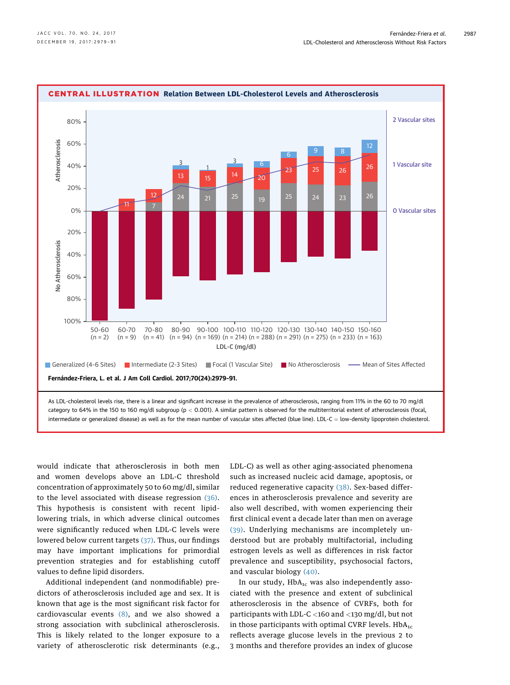<span id="page-8-0"></span>

would indicate that atherosclerosis in both men and women develops above an LDL-C threshold concentration of approximately 50 to 60 mg/dl, similar to the level associated with disease regression [\(36\).](#page-12-0) This hypothesis is consistent with recent lipidlowering trials, in which adverse clinical outcomes were significantly reduced when LDL-C levels were lowered below current targets [\(37\)](#page-12-0). Thus, our findings may have important implications for primordial prevention strategies and for establishing cutoff values to define lipid disorders.

Additional independent (and nonmodifiable) predictors of atherosclerosis included age and sex. It is known that age is the most significant risk factor for cardiovascular events  $(8)$ , and we also showed a strong association with subclinical atherosclerosis. This is likely related to the longer exposure to a variety of atherosclerotic risk determinants (e.g., LDL-C) as well as other aging-associated phenomena such as increased nucleic acid damage, apoptosis, or reduced regenerative capacity [\(38\).](#page-12-0) Sex-based differences in atherosclerosis prevalence and severity are also well described, with women experiencing their first clinical event a decade later than men on average [\(39\).](#page-12-0) Underlying mechanisms are incompletely understood but are probably multifactorial, including estrogen levels as well as differences in risk factor prevalence and susceptibility, psychosocial factors, and vascular biology [\(40\).](#page-12-0)

In our study,  $HbA_{1c}$  was also independently associated with the presence and extent of subclinical atherosclerosis in the absence of CVRFs, both for participants with LDL-C <160 and <130 mg/dl, but not in those participants with optimal CVRF levels.  $HbA_{1c}$ reflects average glucose levels in the previous 2 to 3 months and therefore provides an index of glucose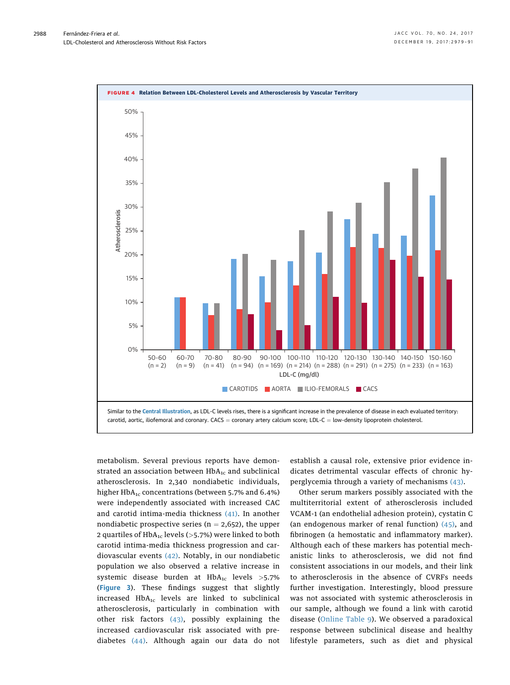<span id="page-9-0"></span>

metabolism. Several previous reports have demonstrated an association between  $HbA_{1c}$  and subclinical atherosclerosis. In 2,340 nondiabetic individuals, higher  $HbA_{1c}$  concentrations (between 5.7% and 6.4%) were independently associated with increased CAC and carotid intima-media thickness [\(41\)](#page-12-0). In another nondiabetic prospective series ( $n = 2,652$ ), the upper 2 quartiles of  $HbA_{1c}$  levels (>5.7%) were linked to both carotid intima-media thickness progression and cardiovascular events [\(42\)](#page-12-0). Notably, in our nondiabetic population we also observed a relative increase in systemic disease burden at  $HbA_{1c}$  levels >5.7% ([Figure 3](#page-6-0)). These findings suggest that slightly increased  $HbA_{1c}$  levels are linked to subclinical atherosclerosis, particularly in combination with other risk factors [\(43\)](#page-12-0), possibly explaining the increased cardiovascular risk associated with prediabetes [\(44\).](#page-12-0) Although again our data do not

establish a causal role, extensive prior evidence indicates detrimental vascular effects of chronic hyperglycemia through a variety of mechanisms [\(43\).](#page-12-0)

Other serum markers possibly associated with the multiterritorial extent of atherosclerosis included VCAM-1 (an endothelial adhesion protein), cystatin C (an endogenous marker of renal function) [\(45\),](#page-12-0) and fibrinogen (a hemostatic and inflammatory marker). Although each of these markers has potential mechanistic links to atherosclerosis, we did not find consistent associations in our models, and their link to atherosclerosis in the absence of CVRFs needs further investigation. Interestingly, blood pressure was not associated with systemic atherosclerosis in our sample, although we found a link with carotid disease ([Online Table 9](https://doi.org/10.1016/j.jacc.2017.10.024)). We observed a paradoxical response between subclinical disease and healthy lifestyle parameters, such as diet and physical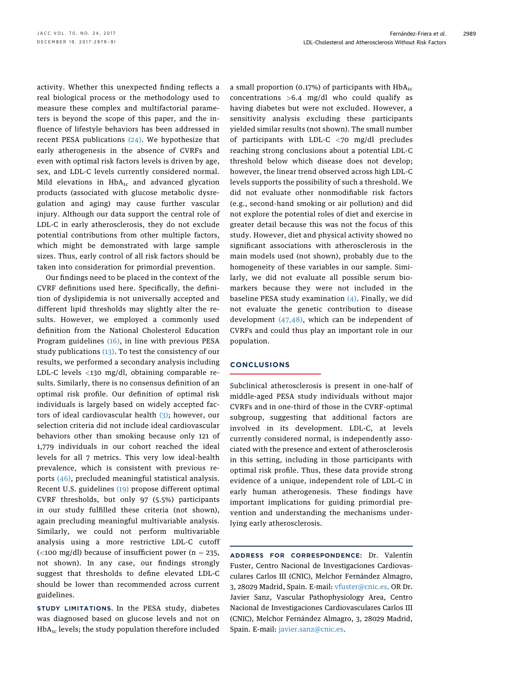activity. Whether this unexpected finding reflects a real biological process or the methodology used to measure these complex and multifactorial parameters is beyond the scope of this paper, and the influence of lifestyle behaviors has been addressed in recent PESA publications  $(24)$ . We hypothesize that early atherogenesis in the absence of CVRFs and even with optimal risk factors levels is driven by age, sex, and LDL-C levels currently considered normal. Mild elevations in  $HbA_{1c}$  and advanced glycation products (associated with glucose metabolic dysregulation and aging) may cause further vascular injury. Although our data support the central role of LDL-C in early atherosclerosis, they do not exclude potential contributions from other multiple factors, which might be demonstrated with large sample sizes. Thus, early control of all risk factors should be taken into consideration for primordial prevention.

Our findings need to be placed in the context of the CVRF definitions used here. Specifically, the definition of dyslipidemia is not universally accepted and different lipid thresholds may slightly alter the results. However, we employed a commonly used definition from the National Cholesterol Education Program guidelines [\(16\)](#page-11-0), in line with previous PESA study publications  $(13)$ . To test the consistency of our results, we performed a secondary analysis including LDL-C levels <130 mg/dl, obtaining comparable results. Similarly, there is no consensus definition of an optimal risk profile. Our definition of optimal risk individuals is largely based on widely accepted factors of ideal cardiovascular health [\(3\)](#page-11-0); however, our selection criteria did not include ideal cardiovascular behaviors other than smoking because only 121 of 1,779 individuals in our cohort reached the ideal levels for all 7 metrics. This very low ideal-health prevalence, which is consistent with previous reports [\(46\)](#page-12-0), precluded meaningful statistical analysis. Recent U.S. guidelines [\(19\)](#page-11-0) propose different optimal CVRF thresholds, but only 97 (5.5%) participants in our study fulfilled these criteria (not shown), again precluding meaningful multivariable analysis. Similarly, we could not perform multivariable analysis using a more restrictive LDL-C cutoff  $\left($  <100 mg/dl) because of insufficient power (n = 235, not shown). In any case, our findings strongly suggest that thresholds to define elevated LDL-C should be lower than recommended across current guidelines.

STUDY LIMITATIONS. In the PESA study, diabetes was diagnosed based on glucose levels and not on  $HbA_{1c}$  levels; the study population therefore included

a small proportion (0.17%) of participants with  $HbA_{1c}$ concentrations >6.4 mg/dl who could qualify as having diabetes but were not excluded. However, a sensitivity analysis excluding these participants yielded similar results (not shown). The small number of participants with LDL-C <70 mg/dl precludes reaching strong conclusions about a potential LDL-C threshold below which disease does not develop; however, the linear trend observed across high LDL-C levels supports the possibility of such a threshold. We did not evaluate other nonmodifiable risk factors (e.g., second-hand smoking or air pollution) and did not explore the potential roles of diet and exercise in greater detail because this was not the focus of this study. However, diet and physical activity showed no significant associations with atherosclerosis in the main models used (not shown), probably due to the homogeneity of these variables in our sample. Similarly, we did not evaluate all possible serum biomarkers because they were not included in the baseline PESA study examination  $(4)$ . Finally, we did not evaluate the genetic contribution to disease development [\(47,48\)](#page-12-0), which can be independent of CVRFs and could thus play an important role in our population.

## **CONCLUSIONS**

Subclinical atherosclerosis is present in one-half of middle-aged PESA study individuals without major CVRFs and in one-third of those in the CVRF-optimal subgroup, suggesting that additional factors are involved in its development. LDL-C, at levels currently considered normal, is independently associated with the presence and extent of atherosclerosis in this setting, including in those participants with optimal risk profile. Thus, these data provide strong evidence of a unique, independent role of LDL-C in early human atherogenesis. These findings have important implications for guiding primordial prevention and understanding the mechanisms underlying early atherosclerosis.

ADDRESS FOR CORRESPONDENCE: Dr. Valentín Fuster, Centro Nacional de Investigaciones Cardiovasculares Carlos III (CNIC), Melchor Fernández Almagro, 3, 28029 Madrid, Spain. E-mail: [vfuster@cnic.es.](mailto:vfuster@cnic.es) OR Dr. Javier Sanz, Vascular Pathophysiology Area, Centro Nacional de Investigaciones Cardiovasculares Carlos III (CNIC), Melchor Fernández Almagro, 3, 28029 Madrid, Spain. E-mail: [javier.sanz@cnic.es](mailto:javier.sanz@cnic.es).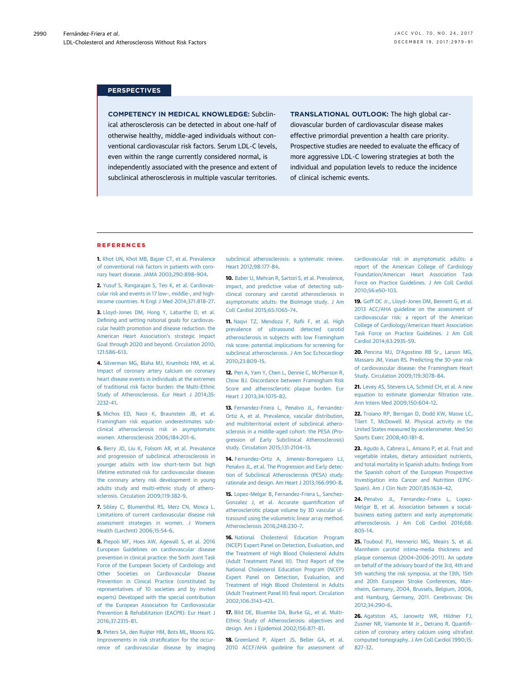#### <span id="page-11-0"></span>**PERSPECTIVES**

COMPETENCY IN MEDICAL KNOWLEDGE: Subclinical atherosclerosis can be detected in about one-half of otherwise healthy, middle-aged individuals without conventional cardiovascular risk factors. Serum LDL-C levels, even within the range currently considered normal, is independently associated with the presence and extent of subclinical atherosclerosis in multiple vascular territories. TRANSLATIONAL OUTLOOK: The high global cardiovascular burden of cardiovascular disease makes effective primordial prevention a health care priority. Prospective studies are needed to evaluate the efficacy of more aggressive LDL-C lowering strategies at both the individual and population levels to reduce the incidence of clinical ischemic events.

#### **REFERENCES**

1. [Khot UN, Khot MB, Bajzer CT, et al. Prevalence](http://refhub.elsevier.com/S0735-1097(17)41232-0/sref1) [of conventional risk factors in patients with coro](http://refhub.elsevier.com/S0735-1097(17)41232-0/sref1)[nary heart disease. JAMA 2003;290:898](http://refhub.elsevier.com/S0735-1097(17)41232-0/sref1)–904.

2. [Yusuf S, Rangarajan S, Teo K, et al. Cardiovas](http://refhub.elsevier.com/S0735-1097(17)41232-0/sref2)[cular risk and events in 17 low-, middle-, and high](http://refhub.elsevier.com/S0735-1097(17)41232-0/sref2)[income countries. N Engl J Med 2014;371:818](http://refhub.elsevier.com/S0735-1097(17)41232-0/sref2)–27.

3. [Lloyd-Jones DM, Hong Y, Labarthe D, et al.](http://refhub.elsevier.com/S0735-1097(17)41232-0/sref3) Defi[ning and setting national goals for cardiovas](http://refhub.elsevier.com/S0735-1097(17)41232-0/sref3)[cular health promotion and disease reduction: the](http://refhub.elsevier.com/S0735-1097(17)41232-0/sref3) [American Heart Association](http://refhub.elsevier.com/S0735-1097(17)41232-0/sref3)'s strategic Impact [Goal through 2020 and beyond. Circulation 2010;](http://refhub.elsevier.com/S0735-1097(17)41232-0/sref3) [121:586](http://refhub.elsevier.com/S0735-1097(17)41232-0/sref3)–613.

4. [Silverman MG, Blaha MJ, Krumholz HM, et al.](http://refhub.elsevier.com/S0735-1097(17)41232-0/sref4) [Impact of coronary artery calcium on coronary](http://refhub.elsevier.com/S0735-1097(17)41232-0/sref4) [heart disease events in individuals at the extremes](http://refhub.elsevier.com/S0735-1097(17)41232-0/sref4) [of traditional risk factor burden: the Multi-Ethnic](http://refhub.elsevier.com/S0735-1097(17)41232-0/sref4) [Study of Atherosclerosis. Eur Heart J 2014;35:](http://refhub.elsevier.com/S0735-1097(17)41232-0/sref4) [2232](http://refhub.elsevier.com/S0735-1097(17)41232-0/sref4)–41.

5. [Michos ED, Nasir K, Braunstein JB, et al.](http://refhub.elsevier.com/S0735-1097(17)41232-0/sref5) [Framingham risk equation underestimates sub](http://refhub.elsevier.com/S0735-1097(17)41232-0/sref5)[clinical atherosclerosis risk in asymptomatic](http://refhub.elsevier.com/S0735-1097(17)41232-0/sref5) [women. Atherosclerosis 2006;184:201](http://refhub.elsevier.com/S0735-1097(17)41232-0/sref5)–6.

6. [Berry JD, Liu K, Folsom AR, et al. Prevalence](http://refhub.elsevier.com/S0735-1097(17)41232-0/sref6) [and progression of subclinical atherosclerosis in](http://refhub.elsevier.com/S0735-1097(17)41232-0/sref6) [younger adults with low short-term but high](http://refhub.elsevier.com/S0735-1097(17)41232-0/sref6) [lifetime estimated risk for cardiovascular disease:](http://refhub.elsevier.com/S0735-1097(17)41232-0/sref6) [the coronary artery risk development in young](http://refhub.elsevier.com/S0735-1097(17)41232-0/sref6) [adults study and multi-ethnic study of athero](http://refhub.elsevier.com/S0735-1097(17)41232-0/sref6)[sclerosis. Circulation 2009;119:382](http://refhub.elsevier.com/S0735-1097(17)41232-0/sref6)–9.

7. [Sibley C, Blumenthal RS, Merz CN, Mosca L.](http://refhub.elsevier.com/S0735-1097(17)41232-0/sref7) [Limitations of current cardiovascular disease risk](http://refhub.elsevier.com/S0735-1097(17)41232-0/sref7) [assessment strategies in women. J Womens](http://refhub.elsevier.com/S0735-1097(17)41232-0/sref7) [Health \(Larchmt\) 2006;15:54](http://refhub.elsevier.com/S0735-1097(17)41232-0/sref7)–6.

8. [Piepoli MF, Hoes AW, Agewall S, et al. 2016](http://refhub.elsevier.com/S0735-1097(17)41232-0/sref8) [European Guidelines on cardiovascular disease](http://refhub.elsevier.com/S0735-1097(17)41232-0/sref8) [prevention in clinical practice: the Sixth Joint Task](http://refhub.elsevier.com/S0735-1097(17)41232-0/sref8) [Force of the European Society of Cardiology and](http://refhub.elsevier.com/S0735-1097(17)41232-0/sref8) [Other Societies on Cardiovascular Disease](http://refhub.elsevier.com/S0735-1097(17)41232-0/sref8) [Prevention in Clinical Practice \(constituted by](http://refhub.elsevier.com/S0735-1097(17)41232-0/sref8) [representatives of 10 societies and by invited](http://refhub.elsevier.com/S0735-1097(17)41232-0/sref8) [experts\) Developed with the special contribution](http://refhub.elsevier.com/S0735-1097(17)41232-0/sref8) [of the European Association for Cardiovascular](http://refhub.elsevier.com/S0735-1097(17)41232-0/sref8) [Prevention & Rehabilitation \(EACPR\). Eur Heart J](http://refhub.elsevier.com/S0735-1097(17)41232-0/sref8) [2016;37:2315](http://refhub.elsevier.com/S0735-1097(17)41232-0/sref8)–81.

9. [Peters SA, den Ruijter HM, Bots ML, Moons KG.](http://refhub.elsevier.com/S0735-1097(17)41232-0/sref9) [Improvements in risk strati](http://refhub.elsevier.com/S0735-1097(17)41232-0/sref9)fication for the occur[rence of cardiovascular disease by imaging](http://refhub.elsevier.com/S0735-1097(17)41232-0/sref9)

[subclinical atherosclerosis: a systematic review.](http://refhub.elsevier.com/S0735-1097(17)41232-0/sref9) [Heart 2012;98:177](http://refhub.elsevier.com/S0735-1097(17)41232-0/sref9)–84.

10. [Baber U, Mehran R, Sartori S, et al. Prevalence,](http://refhub.elsevier.com/S0735-1097(17)41232-0/sref10) [impact, and predictive value of detecting sub](http://refhub.elsevier.com/S0735-1097(17)41232-0/sref10)[clinical coronary and carotid atherosclerosis in](http://refhub.elsevier.com/S0735-1097(17)41232-0/sref10) [asymptomatic adults: the BioImage study. J Am](http://refhub.elsevier.com/S0735-1097(17)41232-0/sref10) [Coll Cardiol 2015;65:1065](http://refhub.elsevier.com/S0735-1097(17)41232-0/sref10)–74.

11. [Naqvi TZ, Mendoza F, Ra](http://refhub.elsevier.com/S0735-1097(17)41232-0/sref11)fii F, et al. High [prevalence of ultrasound detected carotid](http://refhub.elsevier.com/S0735-1097(17)41232-0/sref11) [atherosclerosis in subjects with low Framingham](http://refhub.elsevier.com/S0735-1097(17)41232-0/sref11) [risk score: potential implications for screening for](http://refhub.elsevier.com/S0735-1097(17)41232-0/sref11) [subclinical atherosclerosis. J Am Soc Echocardiogr](http://refhub.elsevier.com/S0735-1097(17)41232-0/sref11) [2010;23:809](http://refhub.elsevier.com/S0735-1097(17)41232-0/sref11)–15.

12. [Pen A, Yam Y, Chen L, Dennie C, McPherson R,](http://refhub.elsevier.com/S0735-1097(17)41232-0/sref12) [Chow BJ. Discordance between Framingham Risk](http://refhub.elsevier.com/S0735-1097(17)41232-0/sref12) [Score and atherosclerotic plaque burden. Eur](http://refhub.elsevier.com/S0735-1097(17)41232-0/sref12) [Heart J 2013;34:1075](http://refhub.elsevier.com/S0735-1097(17)41232-0/sref12)–82.

13. [Fernandez-Friera L, Penalvo JL, Fernandez-](http://refhub.elsevier.com/S0735-1097(17)41232-0/sref13)[Ortiz A, et al. Prevalence, vascular distribution,](http://refhub.elsevier.com/S0735-1097(17)41232-0/sref13) [and multiterritorial extent of subclinical athero](http://refhub.elsevier.com/S0735-1097(17)41232-0/sref13)[sclerosis in a middle-aged cohort: the PESA \(Pro](http://refhub.elsevier.com/S0735-1097(17)41232-0/sref13)[gression of Early Subclinical Atherosclerosis\)](http://refhub.elsevier.com/S0735-1097(17)41232-0/sref13) [study. Circulation 2015;131:2104](http://refhub.elsevier.com/S0735-1097(17)41232-0/sref13)–13.

14. [Fernandez-Ortiz A, Jimenez-Borreguero LJ,](http://refhub.elsevier.com/S0735-1097(17)41232-0/sref14) [Penalvo JL, et al. The Progression and Early detec](http://refhub.elsevier.com/S0735-1097(17)41232-0/sref14)[tion of Subclinical Atherosclerosis \(PESA\) study:](http://refhub.elsevier.com/S0735-1097(17)41232-0/sref14) [rationale and design. Am Heart J 2013;166:990](http://refhub.elsevier.com/S0735-1097(17)41232-0/sref14)–8.

15. [Lopez-Melgar B, Fernandez-Friera L, Sanchez-](http://refhub.elsevier.com/S0735-1097(17)41232-0/sref15)[Gonzalez J, et al. Accurate quanti](http://refhub.elsevier.com/S0735-1097(17)41232-0/sref15)fication of [atherosclerotic plaque volume by 3D vascular ul](http://refhub.elsevier.com/S0735-1097(17)41232-0/sref15)[trasound using the volumetric linear array method.](http://refhub.elsevier.com/S0735-1097(17)41232-0/sref15) [Atherosclerosis 2016;248:230](http://refhub.elsevier.com/S0735-1097(17)41232-0/sref15)–7.

16. [National Cholesterol Education Program](http://refhub.elsevier.com/S0735-1097(17)41232-0/sref16) [\(NCEP\) Expert Panel on Detection, Evaluation, and](http://refhub.elsevier.com/S0735-1097(17)41232-0/sref16) [the Treatment of High Blood Cholesterol Adults](http://refhub.elsevier.com/S0735-1097(17)41232-0/sref16) [\(Adult Treatment Panel III\). Third Report of the](http://refhub.elsevier.com/S0735-1097(17)41232-0/sref16) [National Cholesterol Education Program \(NCEP\)](http://refhub.elsevier.com/S0735-1097(17)41232-0/sref16) [Expert Panel on Detection, Evaluation, and](http://refhub.elsevier.com/S0735-1097(17)41232-0/sref16) [Treatment of High Blood Cholesterol in Adults](http://refhub.elsevier.com/S0735-1097(17)41232-0/sref16) [\(Adult Treatment Panel III\)](http://refhub.elsevier.com/S0735-1097(17)41232-0/sref16) final report. Circulation [2002;106:3143](http://refhub.elsevier.com/S0735-1097(17)41232-0/sref16)–421.

17. [Bild DE, Bluemke DA, Burke GL, et al. Multi-](http://refhub.elsevier.com/S0735-1097(17)41232-0/sref17)[Ethnic Study of Atherosclerosis: objectives and](http://refhub.elsevier.com/S0735-1097(17)41232-0/sref17) [design. Am J Epidemiol 2002;156:871](http://refhub.elsevier.com/S0735-1097(17)41232-0/sref17)–81.

18. [Greenland P, Alpert JS, Beller GA, et al.](http://refhub.elsevier.com/S0735-1097(17)41232-0/sref18) [2010 ACCF/AHA guideline for assessment of](http://refhub.elsevier.com/S0735-1097(17)41232-0/sref18) [cardiovascular risk in asymptomatic adults: a](http://refhub.elsevier.com/S0735-1097(17)41232-0/sref18) [report of the American College of Cardiology](http://refhub.elsevier.com/S0735-1097(17)41232-0/sref18) [Foundation/American Heart Association Task](http://refhub.elsevier.com/S0735-1097(17)41232-0/sref18) [Force on Practice Guidelines. J Am Coll Cardiol](http://refhub.elsevier.com/S0735-1097(17)41232-0/sref18) [2010;56:e50](http://refhub.elsevier.com/S0735-1097(17)41232-0/sref18)–103.

19. [Goff DC Jr., Lloyd-Jones DM, Bennett G, et al.](http://refhub.elsevier.com/S0735-1097(17)41232-0/sref19) [2013 ACC/AHA guideline on the assessment of](http://refhub.elsevier.com/S0735-1097(17)41232-0/sref19) [cardiovascular risk: a report of the American](http://refhub.elsevier.com/S0735-1097(17)41232-0/sref19) [College of Cardiology/American Heart Association](http://refhub.elsevier.com/S0735-1097(17)41232-0/sref19) [Task Force on Practice Guidelines. J Am Coll](http://refhub.elsevier.com/S0735-1097(17)41232-0/sref19) [Cardiol 2014;63:2935](http://refhub.elsevier.com/S0735-1097(17)41232-0/sref19)–59.

20. Pencina MJ, D'[Agostino RB Sr., Larson MG,](http://refhub.elsevier.com/S0735-1097(17)41232-0/sref20) [Massaro JM, Vasan RS. Predicting the 30-year risk](http://refhub.elsevier.com/S0735-1097(17)41232-0/sref20) [of cardiovascular disease: the Framingham Heart](http://refhub.elsevier.com/S0735-1097(17)41232-0/sref20) [Study. Circulation 2009;119:3078](http://refhub.elsevier.com/S0735-1097(17)41232-0/sref20)–84.

21. [Levey AS, Stevens LA, Schmid CH, et al. A new](http://refhub.elsevier.com/S0735-1097(17)41232-0/sref21) [equation to estimate glomerular](http://refhub.elsevier.com/S0735-1097(17)41232-0/sref21) filtration rate. [Ann Intern Med 2009;150:604](http://refhub.elsevier.com/S0735-1097(17)41232-0/sref21)–12.

22. [Troiano RP, Berrigan D, Dodd KW, Masse LC,](http://refhub.elsevier.com/S0735-1097(17)41232-0/sref22) [Tilert T, McDowell M. Physical activity in the](http://refhub.elsevier.com/S0735-1097(17)41232-0/sref22) [United States measured by accelerometer. Med Sci](http://refhub.elsevier.com/S0735-1097(17)41232-0/sref22) [Sports Exerc 2008;40:181](http://refhub.elsevier.com/S0735-1097(17)41232-0/sref22)–8.

23. [Agudo A, Cabrera L, Amiano P, et al. Fruit and](http://refhub.elsevier.com/S0735-1097(17)41232-0/sref23) [vegetable intakes, dietary antioxidant nutrients,](http://refhub.elsevier.com/S0735-1097(17)41232-0/sref23) [and total mortality in Spanish adults:](http://refhub.elsevier.com/S0735-1097(17)41232-0/sref23) findings from [the Spanish cohort of the European Prospective](http://refhub.elsevier.com/S0735-1097(17)41232-0/sref23) [Investigation into Cancer and Nutrition \(EPIC-](http://refhub.elsevier.com/S0735-1097(17)41232-0/sref23)[Spain\). Am J Clin Nutr 2007;85:1634](http://refhub.elsevier.com/S0735-1097(17)41232-0/sref23)–42.

24. [Penalvo JL, Fernandez-Friera L, Lopez-](http://refhub.elsevier.com/S0735-1097(17)41232-0/sref24)[Melgar B, et al. Association between a social](http://refhub.elsevier.com/S0735-1097(17)41232-0/sref24)[business eating pattern and early asymptomatic](http://refhub.elsevier.com/S0735-1097(17)41232-0/sref24) [atherosclerosis. J Am Coll Cardiol 2016;68:](http://refhub.elsevier.com/S0735-1097(17)41232-0/sref24) [805](http://refhub.elsevier.com/S0735-1097(17)41232-0/sref24)–14.

25. [Touboul PJ, Hennerici MG, Meairs S, et al.](http://refhub.elsevier.com/S0735-1097(17)41232-0/sref25) [Mannheim carotid intima-media thickness and](http://refhub.elsevier.com/S0735-1097(17)41232-0/sref25) [plaque consensus \(2004](http://refhub.elsevier.com/S0735-1097(17)41232-0/sref25)–2006-2011). An update [on behalf of the advisory board of the 3rd, 4th and](http://refhub.elsevier.com/S0735-1097(17)41232-0/sref25) [5th watching the risk symposia, at the 13th, 15th](http://refhub.elsevier.com/S0735-1097(17)41232-0/sref25) [and 20th European Stroke Conferences, Man](http://refhub.elsevier.com/S0735-1097(17)41232-0/sref25)[nheim, Germany, 2004, Brussels, Belgium, 2006,](http://refhub.elsevier.com/S0735-1097(17)41232-0/sref25) [and Hamburg, Germany, 2011. Cerebrovasc Dis](http://refhub.elsevier.com/S0735-1097(17)41232-0/sref25) [2012;34:290](http://refhub.elsevier.com/S0735-1097(17)41232-0/sref25)–6.

26. [Agatston AS, Janowitz WR, Hildner FJ,](http://refhub.elsevier.com/S0735-1097(17)41232-0/sref26) [Zusmer NR, Viamonte M Jr., Detrano R. Quanti](http://refhub.elsevier.com/S0735-1097(17)41232-0/sref26)fi[cation of coronary artery calcium using ultrafast](http://refhub.elsevier.com/S0735-1097(17)41232-0/sref26) [computed tomography. J Am Coll Cardiol 1990;15:](http://refhub.elsevier.com/S0735-1097(17)41232-0/sref26) [827](http://refhub.elsevier.com/S0735-1097(17)41232-0/sref26)–32.